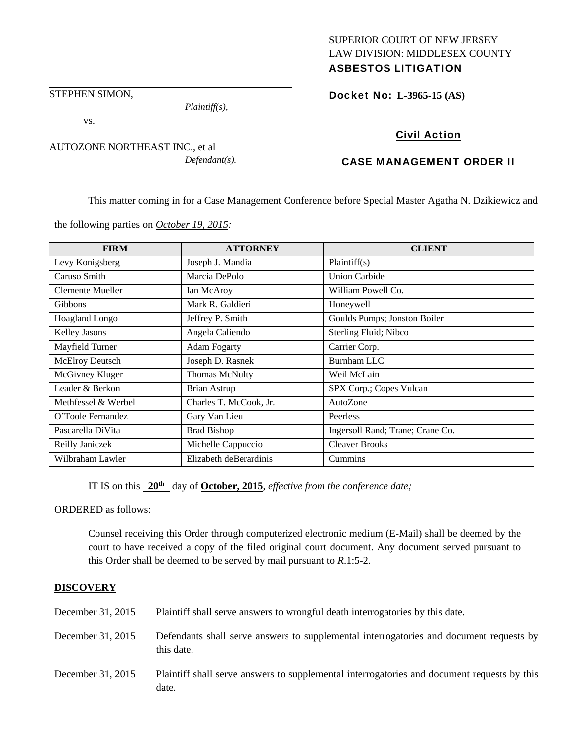### SUPERIOR COURT OF NEW JERSEY LAW DIVISION: MIDDLESEX COUNTY ASBESTOS LITIGATION

STEPHEN SIMON,

vs.

*Plaintiff(s),* 

AUTOZONE NORTHEAST INC., et al *Defendant(s).*  Docket No: **L-3965-15 (AS)** 

# Civil Action

# CASE MANAGEMENT ORDER II

This matter coming in for a Case Management Conference before Special Master Agatha N. Dzikiewicz and

the following parties on *October 19, 2015:* 

| <b>FIRM</b>           | <b>ATTORNEY</b>        | <b>CLIENT</b>                    |
|-----------------------|------------------------|----------------------------------|
| Levy Konigsberg       | Joseph J. Mandia       | Plaintiff(s)                     |
| Caruso Smith          | Marcia DePolo          | <b>Union Carbide</b>             |
| Clemente Mueller      | Ian McAroy             | William Powell Co.               |
| Gibbons               | Mark R. Galdieri       | Honeywell                        |
| <b>Hoagland Longo</b> | Jeffrey P. Smith       | Goulds Pumps; Jonston Boiler     |
| Kelley Jasons         | Angela Caliendo        | Sterling Fluid; Nibco            |
| Mayfield Turner       | <b>Adam Fogarty</b>    | Carrier Corp.                    |
| McElroy Deutsch       | Joseph D. Rasnek       | Burnham LLC                      |
| McGivney Kluger       | Thomas McNulty         | Weil McLain                      |
| Leader & Berkon       | Brian Astrup           | SPX Corp.; Copes Vulcan          |
| Methfessel & Werbel   | Charles T. McCook, Jr. | AutoZone                         |
| O'Toole Fernandez     | Gary Van Lieu          | Peerless                         |
| Pascarella DiVita     | <b>Brad Bishop</b>     | Ingersoll Rand; Trane; Crane Co. |
| Reilly Janiczek       | Michelle Cappuccio     | <b>Cleaver Brooks</b>            |
| Wilbraham Lawler      | Elizabeth deBerardinis | Cummins                          |

IT IS on this **20th** day of **October, 2015**, *effective from the conference date;*

ORDERED as follows:

Counsel receiving this Order through computerized electronic medium (E-Mail) shall be deemed by the court to have received a copy of the filed original court document. Any document served pursuant to this Order shall be deemed to be served by mail pursuant to *R*.1:5-2.

### **DISCOVERY**

| December 31, 2015 | Plaintiff shall serve answers to wrongful death interrogatories by this date.                         |
|-------------------|-------------------------------------------------------------------------------------------------------|
| December 31, 2015 | Defendants shall serve answers to supplemental interrogatories and document requests by<br>this date. |
| December 31, 2015 | Plaintiff shall serve answers to supplemental interrogatories and document requests by this<br>date.  |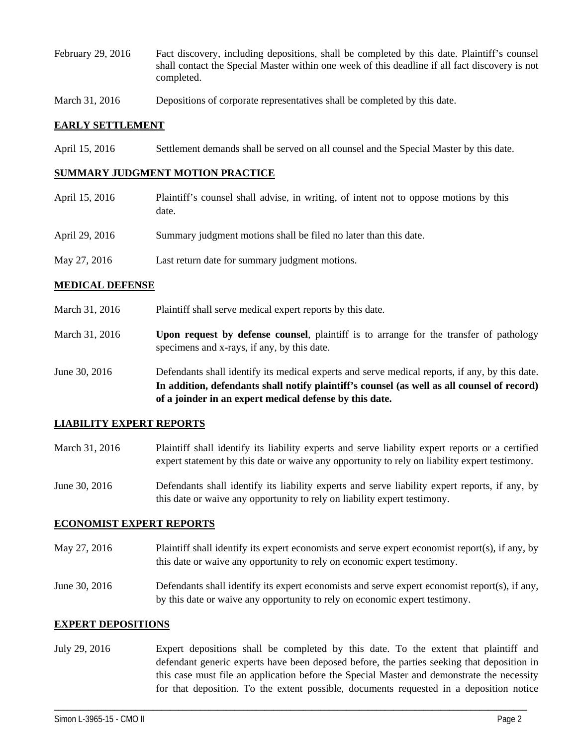- February 29, 2016 Fact discovery, including depositions, shall be completed by this date. Plaintiff's counsel shall contact the Special Master within one week of this deadline if all fact discovery is not completed.
- March 31, 2016 Depositions of corporate representatives shall be completed by this date.

#### **EARLY SETTLEMENT**

April 15, 2016 Settlement demands shall be served on all counsel and the Special Master by this date.

#### **SUMMARY JUDGMENT MOTION PRACTICE**

April 15, 2016 Plaintiff's counsel shall advise, in writing, of intent not to oppose motions by this date. April 29, 2016 Summary judgment motions shall be filed no later than this date. May 27, 2016 Last return date for summary judgment motions.

#### **MEDICAL DEFENSE**

- March 31, 2016 Plaint if shall serve medical expert reports by this date.
- March 31, 2016 **Upon request by defense counsel**, plaintiff is to arrange for the transfer of pathology specimens and x-rays, if any, by this date.
- June 30, 2016 Defendants shall identify its medical experts and serve medical reports, if any, by this date. **In addition, defendants shall notify plaintiff's counsel (as well as all counsel of record) of a joinder in an expert medical defense by this date.**

#### **LIABILITY EXPERT REPORTS**

- March 31, 2016 Plaintiff shall identify its liability experts and serve liability expert reports or a certified expert statement by this date or waive any opportunity to rely on liability expert testimony.
- June 30, 2016 Defendants shall identify its liability experts and serve liability expert reports, if any, by this date or waive any opportunity to rely on liability expert testimony.

#### **ECONOMIST EXPERT REPORTS**

- May 27, 2016 Plaintiff shall identify its expert economists and serve expert economist report(s), if any, by this date or waive any opportunity to rely on economic expert testimony.
- June 30, 2016 Defendants shall identify its expert economists and serve expert economist report(s), if any, by this date or waive any opportunity to rely on economic expert testimony.

#### **EXPERT DEPOSITIONS**

July 29, 2016 Expert depositions shall be completed by this date. To the extent that plaintiff and defendant generic experts have been deposed before, the parties seeking that deposition in this case must file an application before the Special Master and demonstrate the necessity for that deposition. To the extent possible, documents requested in a deposition notice

\_\_\_\_\_\_\_\_\_\_\_\_\_\_\_\_\_\_\_\_\_\_\_\_\_\_\_\_\_\_\_\_\_\_\_\_\_\_\_\_\_\_\_\_\_\_\_\_\_\_\_\_\_\_\_\_\_\_\_\_\_\_\_\_\_\_\_\_\_\_\_\_\_\_\_\_\_\_\_\_\_\_\_\_\_\_\_\_\_\_\_\_\_\_\_\_\_\_\_\_\_\_\_\_\_\_\_\_\_\_